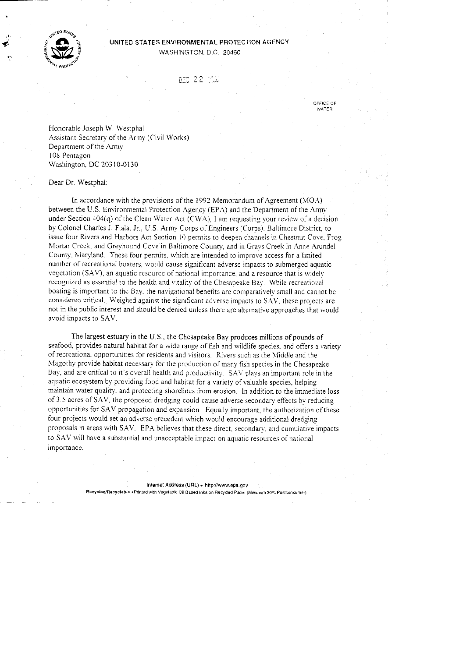

**,I** 

### UNITED STATES ENVIRONMENTAL PROTECTION AGENCY WASHINGTON, D.C. 20460

DEC 22 100

OFFICE OF **WATER** 

Honorable Joseph W. Westphal Assistant Secretary of the Army (Civil Works) Department of the Army 108 Pentagon Washington. DC 203 10-0130

Dear Dr Westphal

In accordance with the provisions of the 1992 Memorandum of Agreement (MOA) between the U.S. Environmental Protection Agency (EPA) and the Department of the Army. under Section 404 $(q)$  of the Clean Water Act (CWA). I am requesting your review of a decision by Colonel Charles J. Fiala, Jr., US. Army Corps of Engineers (Corps). Baltimore District, to issue four Rivers and Harbors Act Section 10 permits to deepen channels in Chestnut Cove. Frog Mortar Creek, and Greyhound Cove in Baltimore County, and in Grays Creek in Anne Arundel County, Maryland. These four permits, which are intended to improve access for a limited number of recreational boaters. would cause significant adverse impacts to submerged aquatic vegetation  $(SAV)$ , an aquatic resource of national importance, and a resource that is widely recognized as essential to the health and vitality of the Chesapeake Bay. While recreational boating is important to the Bay, the navigational benetits are comparatively small and cannot be considered critical. Weighed against the significant adverse impacts to S.AV, these projects are not in the public interest and should be denied unless there are alternative approaches that would avoid impacts to SAV.

The largest estuary in the U.S., the Chesapeake Bay produces millions of pounds of seafood, provides natural habitat for a wide range of fish and wildlife species, and offers a variety of recreational opportunities for residents and visitors. Rivers such as the Middle and the Magothy provide habitat necessary for the production of many fish species in the Chesapeake Bay, and are critical to it's overall health and productivity. SAV plays an important role in the aquatic ecosystem by providing food and habitat for a variety of valuable species, helping maintain water quality, and protecting shorelines from erosion. In addition to the immediate loss of *3.5* acres of SAV, the proposed dredging could cause adverse secondary effects by reducing opportunities for SAV propagation and expansion. Equally important. the authorization of these four projects would set an adverse precedent which would encourage additional dredging proposals in areas with SAV. EPA believes that these direct, secondary, and cumulative impacts to SAV will have a substantial and unacceptable impact on aquatic resources of national importance.

> Internet Address (URL) · http://www.epa.gov Recycled/Recyclable · Printed with Vegetable Oil Based Inks on Recycled Paper (Minimum 30% Postconsumer)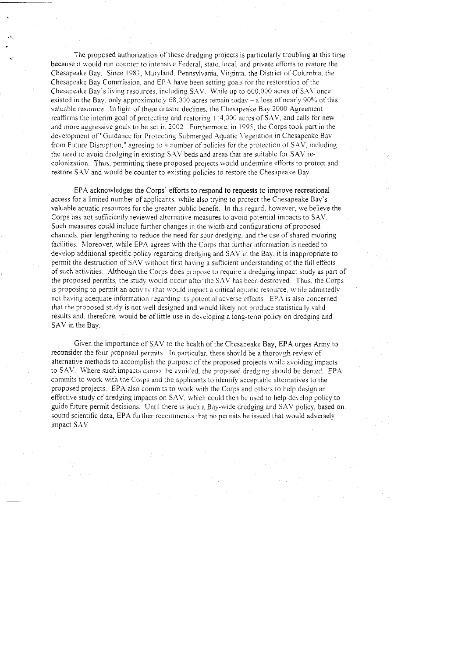The proposed authorization of these dredging projects is particularly troubling at this time because it would run counter to intensive Federal, state, local, and private efforts to restore the Chesapeake Bay. Since 1983, Maryland. Pennsylvania, Virginia. the District of Columbia, the Chesapeake Bay Commission, and EP.4 have been setting goals for the restoration of the Chesapeake Bay's living resources, including SAV. While up to 600,000 acres of SAV once existed in the Bay, only approximately  $68,000$  acres remain today  $-$  a loss of nearly 90% of this valuable resource. **in** light of these drastic declines, the Chesapeake Bay 2000 Agreement reaffirms the interim goal of protecting and restoring 114,000 acres of SAV, and calls for new and more aggressive goals to be set in 2002. Furthermore, in 1995, the Corps took part in the development of "Guidance for Protecting Submerged Aquatic V egetation in Chesapeake Bay from Future Disniption," ayreeing to a number of policies for the protection of SAV. including the need to avoid dredging in existing S.AV beds and areas that are suitable for SAV recolonization. Thus, permitting these proposed projects would undermine efforts to protect and restore SAV and would be counter to existing policies to restore the Chesapeake Bay.

EPA acknowledges the Corps' efforts to respond to requests to improve recreational access for a limited number of applicants, while also trying to protect the Chesapeake Bay's valuable aquatic resources for the greater public benefit. In this regard, however, we believe the Corps has not sufficiently reviewed alternative measures to avoid potential impacts to SAV. Such measures could include further changes in the width and configurations of proposed channels. pier lengthening to reduce the need for spur dredging. and the use of shared mooring facilities. Moreover, while EPA agrees with the Corps that further information is needed to develop additional specific policy regarding dredging and SAV in the Bay, it is inappropriate to permit the destruction of SAV without first having a sufficient understanding of the full effects of such activities. Although the Corps does propose to require a dredging impact study as part of the proposed permits, the study would occur after the SAV has been destroyed. Thus, the Corps is proposing to permit an activity that would impact a critical aquatic resource, while admittedly not having adequate information regarding its potential adverse effects. EPA is also concerned that the proposed study is not well designed and would likely not produce statistically valid results and, therefore, would be of little use in developing a long-term policy on dredging and SAV in the Bay.

Given the importance of SAV to the health of the Chesapeake Bay, EPA urges Army to reconsider the four proposed permits. In particular, there should be a thorough review of alternative methods to accomplish the purpose of the proposed projects while avoiding impacts to SAV. Where such impacts cannot be avoided, the proposed dredging should be denied. EPA commits to work with the Corps and the applicants to identify acceptable alternatives to the proposed projects. EPA also commits to work with the Corps and others to help design an effective study of dredging impacts on SAV. which could then be used to help develop policy to guide future permit decisions. Until there is such a Bay-wide dredging and SAV policy, based on sound scientific data, EPA further recommends that no permits be issued that would adversely impact SAV.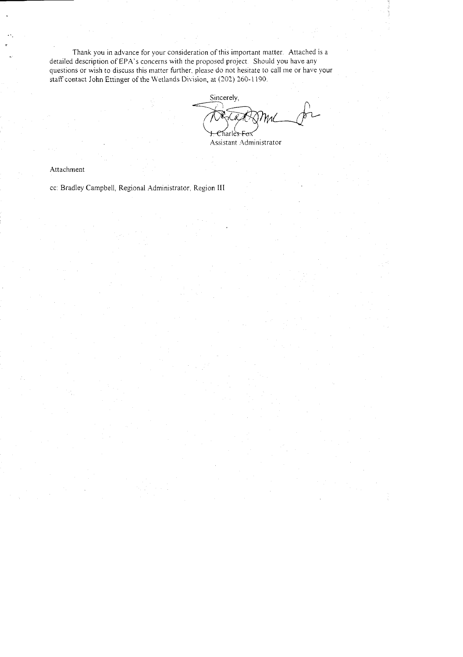Thank you in advance for your consideration of this important matter. Attached is a detailed description of EPA's concerns with the proposed project. Should you have any questions or wish to discuss this matter further. please do not hesitate to call me or have your staff contact John Ettinger of the Wetlands Division, at (202) 260-1190. Fraction of this important matter. Attached is a<br> **a** proposed project. Should you have any<br>
please do not hesitate to call me or have your<br>
ision, at (202) 260-1190.<br>
Sincerely,

Charle<del>s Fo</del>.

Assistant Administrator

Attachment

cc: Bradley Campbell, Regional Administrator. Region **I11**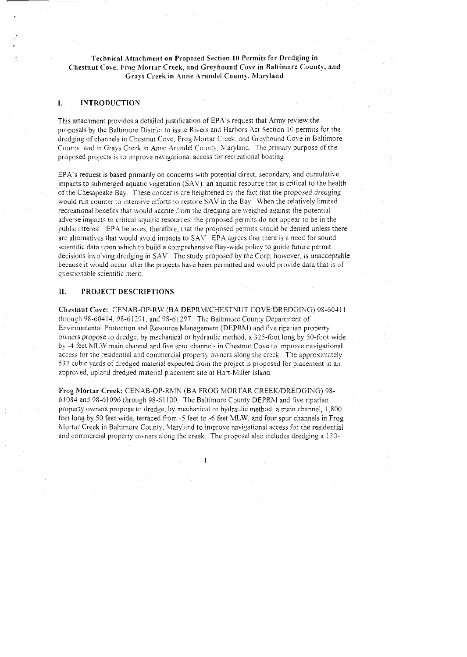# Technical Attachment on Proposed Section **I0** Permits for Dredging in Chestnut Cove, Frog Mortar Creek, and Greyhound Cove in Baltimore County, and Grays Creek in Anne Arundel County, Maryland

### I. INTRODUCTION

This attachment provides a detailed justification of EPA's request that Army review the proposals by the Baltimore District to issue Rivers and Harbors Act Section 10 permits for the dredging of channels in Chestnut Cove, Frog Mortar Creek, and Greyhound Cove in Baltimore County, and in Grays Creek in Anne Arundel County, Maryland. The primary purpose of the proposed projects is to improve navigational access for recreational boating.

EPA's request is based primarily on concerns with potential direct, secondary, and cumulative impacts to submerged aquatic vegetation (SAV), an aquatic resource that is critical to the health of the Chesapeake Bay. These concerns are heightened by the fact that the proposed dredging would run counter to intensive efforts to restore SAV in the Bay. When the relatively limited recreational benefits that would accrue from the dredging are weighed against the potential adverse impacts to critical aquatic resources. the proposed permits do not appear to be in the public interest. EPA believes, therefore, that the proposed permits should be denied unless there are alternatives that would avoid impacts to SAV. EPA agrees that there is a need for sound scientitic data upon which to build a comprehensive Bay-wide policy to guide future permit decisions involving dredging in SAV. The study proposed by the Corp, however, is unacceptable because it would occur after the projects have been permitted and would provide data that is of questionable scienrific merit.

### 11. PROJECT DESCRIPTIOKS

Chestnut Cove: CENAB-OP-RW (BA DEPRM/CHESTNUT COVE/DREDGING) 98-60411 through 98-60414. 95-6 I29 I. and 95-61297 The Baltimore County Department of Environmental Protection and Resource Management (DEPRM) and five riparian property owners propose to dredge, by mechanical or hydraulic method, a 325-foot long by 50-foot wide by -4 feet MLW main channel and five spur channels in Chestnut Cove to improve navigational access for the residential and commercial property owners alony the creek. The approximately 537 cubic yards of dredged material expected from the project is proposed for placement in an approved, upland dredged material placement site at Hart-Miller Island.

Frog Mortar Creek: CENAB-OP-RMN (BA FROG MORTAR CREEK/DREDGING) 98-61084 and 98-61096 through 98-61100. The Baltimore County DEPRM and five riparian property owners propose to dredge, by mechanical or hydraulic method. a main channel, 1,800 feet long by 50 feet wide, terraced from -5 feet to -6 feet MLW, and four spur channels in Frog Mortar Creek in Baltimore County, Maryland to improve navigational access for the residential and commercial property owners alony the creek. The proposal also includes dredging a 130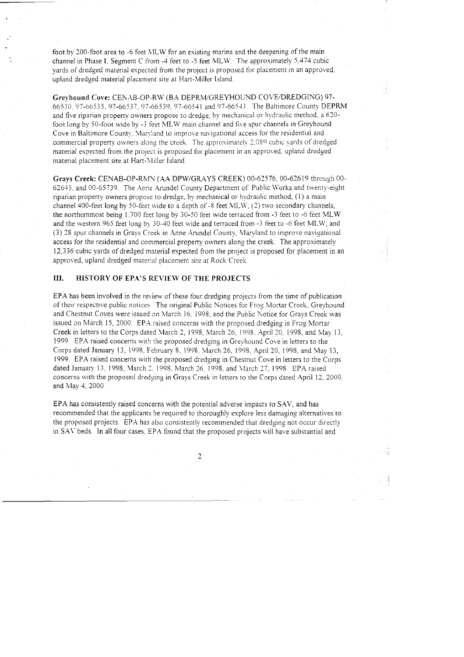foot by 300-foot area to -6 feet h1LW for an existing marina and the deepening of the main channel in Phase I. Segment C from -4 feet to -5 feet MLW. The approximately 5,474 cubic yards of dredged material expected from the project is proposed for placement in an approved, upland dredged material placement site at Hart-Miller Island.

Greyhound Cove: CENAB-OP-RW (BA DEPRM/GREYHOUND COVE/DREDGING) 97-66530, 97-66535, 97-66537, 97-66539, 97-66541 and 97-66543. The Baltimore County DEPRM and five riparian property owners propose to dredge, by mechanical or hydraulic method, a 620foot long by 50-foot wide by -3 feet MLW main channel and five spur channels in Greyhound Cove in Baltimore County. Maryland to improve navigational access for the residential and commercial property owners along the creek. The approximately 2.089 cubic yards of dredged material expected from the project is proposed for placement in an approved. upland dredged material placement site at Hart-Miller Island.

Grays Creek: CENAB-OP-RMN (AA DPW/GRAYS CREEK) 00-62576, 00-62619 through 00-62645, and 00-65739. The Anne Arundel County Department of Public Works and twenty-eight riparian property owners propose to dredge, by mechanical or hydraulic method, (1) a main channel 400-feet long by 50-feet wide to a depth of -3 feet VLLW; *(2)* two secondary channels, the northernmost being 1.700 feet long by 30-50 feet wide terraced from -3 feet to -6 feet MLW and the western 965 feet long by 30-40 feet wide and terraced from -3 feet to -6 feet MLW; and (3) 78 spur channels in Grays Creek in Anne Arundel County, Maryland to improve navigational access for the residential and commercial property owners along the creek. The approximately 17,336 cubic yards of dredged material expected from the project is proposed for placement in an approved, upland dredged material placement site at Rock Creek.

## **111. HISTORY OF EPA'S REVIEW OF THE PROJECTS**

EPA has been involved in the review of these four dredging projects from the time of publication of their respective public notices The original Public Notices for Froy Mortar Creek. Greyhound and Chestnut Coves were issued on March 16. 1998; and the Public hotice for Grays Creek was issued on March 15, 2000. EPA raised concerns with the proposed dredging in Frog Mortar Creek in letters to the Corps dated March 2, 1998, March 76, 1998. April 20; 1998, and May 13, 1999 EPA raised concerns with the proposed dredging in Greyhound Cove in letters to the Corps dated January 13, 1998, February 8, 1998, March 26, 1998. April 20, 1998, and May 13, 1999. EPA raised concerns with the proposed dredying in Chestnut Cove in letters to the Corps dated January 13, 1998, March 2. 1998, March 26, 1998, and March 27, 1998. EPA raised concerns with the proposed dredging in Grays Creek in letters to the Corps dated April 12, 2000, and May 4, 2000

EPA has consistently raised concerns with the potential adverse impacts to SAV, and has recommended that the applicants be required to thoroughly explore less damaging alternatives to the proposed projects. EPA has also consistently recommended that dredging not occur directly in SAV beds. In all four cases, EPA found that the proposed projects will have substantial and

 $\overline{2}$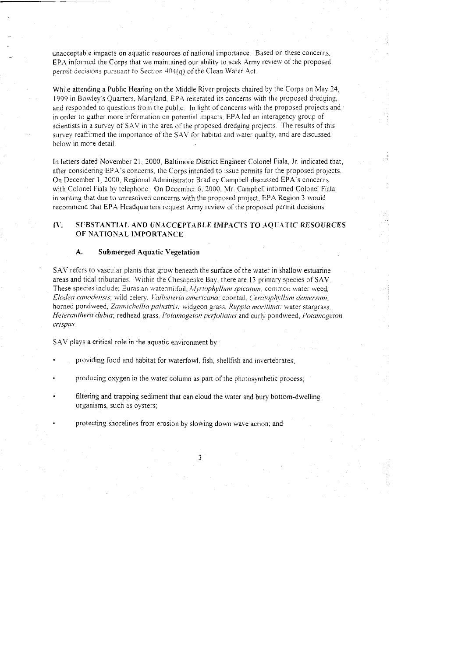unacceptable impacts on aquatic resources of national importance. Based on these concerns, EPA informed the Corps that we maintained our ability to seek Army review of the proposed permit decisions pursuant to Section  $404(q)$  of the Clean Water Act.

While attending a Public Hearing on the Middle River projects chaired by the Corps on May 24, 1999 in Bowley's Quarters, Maryland, EPA reiterated its concerns with the proposed dredging, and responded to questions from the public. In light of concerns with the proposed projects and in order to gather more information on potential impacts. EPA led an interagency group of scientists in a survey of SAV in the area of the proposed dredging projects. The results of this survey reaffirmed the importance of the SAV for habitat and water quality, and are discussed below in more detail.

In letters dated November 21, 2000, Baltimore District Engineer Colonel Fiala, Jr. indicated that, after considering EPA's concerns, the Corps intended to issue permits for the proposed projects. On December 1, 2000, Regional Administrator Bradley Campbell discussed EPA's concerns with Colonel Fiala by telephone. On December 6, 2000, Mr. Campbell informed Colonel Fiala in writing that due to unresolved concerns with the proposed project, EPA Region 3 would recommend that EPA Headquarters request Army review of the proposed permit decisions.

### $IV.$ SUBSTANTIAL AND UNACCEPTABLE IMPACTS TO AQUATIC RESOURCES OF NATIONAL IMPORTANCE

#### A. **Submerged Aquatic Vegetation**

SAV refers to vascular plants that grow beneath the surface of the water in shallow estuarine areas and tidal tributaries. Within the Chesapeake Bay, there are 13 primary species of SAV. These species include: Eurasian watermilfoil, Myriophyllum spicatum; common water weed, Elodea canadensis, wild celery, Vallisneria americana; coontail, Ceratophyllum demersum; horned pondweed, Zannichellia palustris; widgeon grass, Ruppia maritima; water stargrass, Heteranthera dubia; redhead grass, Potamogeton perfoliatus and curly pondweed, Potamogeton crispus.

SAV plays a critical role in the aquatic environment by:

- providing food and habitat for waterfowl, fish, shellfish and invertebrates;
- producing oxygen in the water column as part of the photosynthetic process;
- filtering and trapping sediment that can cloud the water and bury bottom-dwelling organisms, such as oysters;

3

protecting shorelines from erosion by slowing down wave action; and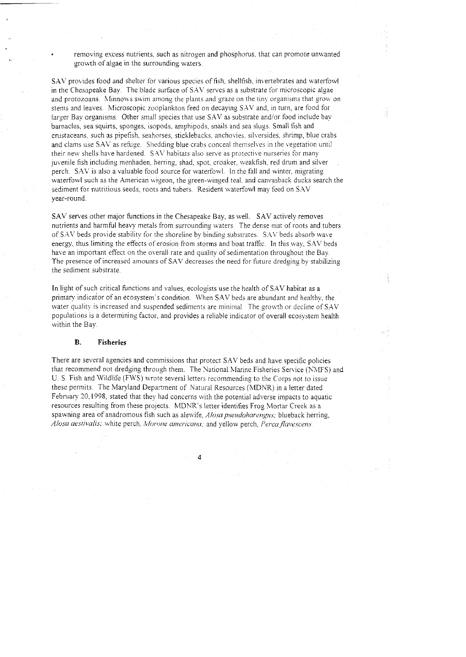removing excess nutrients, such as nitrogen and phosphorus, that can promote unwanted growth of algae in the surrounding waters.

SAV provides food and shelter for various species of fish, shellfish, invertebrates and waterfowl in the Chesapeake Bay. The blade surface of SAV serves as a substrate for microscopic algae and protozoans. Minnows swim among the plants and graze on the tiny organisms that grow on stems and leaves. Microscopic zooplankton feed on decaying SAV and, in turn, are food for larger Bay organisms. Other small species that use SAV as substrate and/or food include bay barnacles, sea squirts, sponges, isopods, amphipods, snails and sea slugs. Small fish and crustaceans. such as pipefish, seahorses, sticklebacks. anchovies. silversides, shrimp, blue crabs and clams use SAV as refuge. Shedding blue crabs conceal themselves in the vegetation until their new shells have hardened. SAV habitats also serve as protective nurseries for many juvenile fish including menhaden. herring, shad, spot. croaker, weakfish, red drum and silver perch. SAV is also a valuable food source for waterfowl. In the fall and winter, migrating waterfowl such as the American wigeon, the green-winged teal, and canvasback ducks search the sediment for nutritious seeds, roots and tubers. Resident waterfowl may feed on SAV year-round.

SAV serves other major functions in the Chesapeake Bay. as well. SAV actively removes nutrients and harmful heavy metals from surrounding waters The dense mat of roots and tubers of SAV beds provide stability for the shoreline by binding substrates. SAV beds absorb wave energy, thus limiting the effects of erosion from storms and boat traffic. In this way, SAV beds have an important effect on the overall rate and quality of sedimentation throughout the Bay. The presence of increased amounts of SAV decreases the need for future dredging by stabilizing the sediment substrate.

In light of such critical functions and values, ecoloyists use the health of SAV habitat as a primary indicator of an ecosystem's condition. When SAV beds are abundant and healthy, the water quality is increased and suspended sediments are minimal. The growth or decline of SAV populations is a determining factor, and provides a reliable indicator of overall ecosystem health within the Bay.

### **B. Fisheries**

There are several agencies and commissions that protect SAV beds and have specific policies that recommend not dredging through them. The National Marine Fisheries Service (NMFS) and U. S Fish and Wildlife (FWS) wrote several letters recommending to the Corps not to issue these permits. The Maryland Department of Natural Resources (MDNR) in a letter dated February 20, 1998, stated that they had concerns with the potential adverse impacts to aquatic resources resulting from these projects. MDNR's letter identifies Frog Mortar Creek as a spawning area of anadromous fish such as alewife, *Alosa pseudoharengus*; blueback herring, Alosa aestivalis; white perch. *Morone americana*; and yellow perch, Perca flavescens.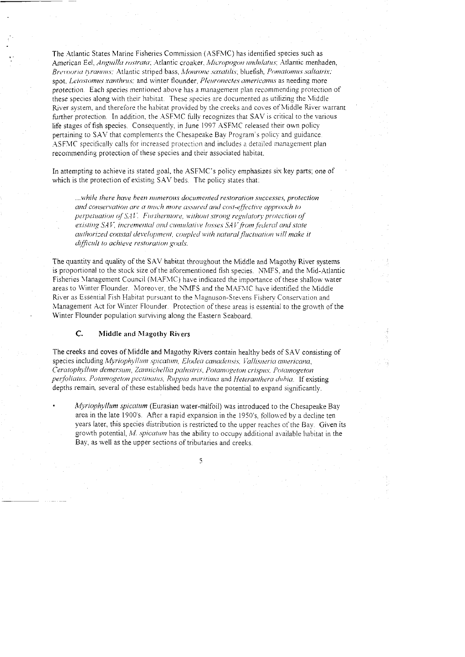The Atlantic States Marine Fisheries Commission (ASFMC) has identified species such as American Eel, Anguilla rostrata; Atlantic croaker, Micropogon undulatus; Atlantic menhaden, Brevooria tyrannus; Atlantic striped bass, Monrone saxatilis, bluefish, Pomatomus saltatrix; spot, Leiostomus xanthrus; and winter flounder, Pleuronectes americanus as needing more protection. Each species mentioned above has a management plan recommending protection of these species along with their habitat. These species are documented as utilizing the Middle River system, and therefore the habitat provided by the creeks and coves of Middle River warrant further protection. In addition, the ASFMC fully recognizes that SAV is critical to the various life stages of fish species. Consequently, in June 1997 ASFMC released their own policy pertaining to SAV that complements the Chesapeake Bay Program's policy and guidance. ASFMC specifically calls for increased protection and includes a detailed management plan recommending protection of these species and their associated habitat.

In attempting to achieve its stated goal, the ASFMC's policy emphasizes six key parts; one of which is the protection of existing SAV beds. The policy states that:

...while there have been mimerous documented restoration successes, protection and conservation are a much more assured and cost-effective approach to perpetuation of SAV. Furthermore, without strong regulatory protection of existing SAV, incremental and cumulative losses SAV from federal and state authorized coastal development, coupled with natural fluctuation will make it difficult to achieve restoration goals.

The quantity and quality of the SAV habitat throughout the Middle and Magothy River systems is proportional to the stock size of the aforementioned fish species. NMFS, and the Mid-Atlantic Fisheries Management Council (MAFMC) have indicated the importance of these shallow water areas to Winter Flounder. Moreover, the NMFS and the MAFMC have identified the Middle River as Essential Fish Habitat pursuant to the Magnuson-Stevens Fishery Conservation and Management Act for Winter Flounder. Protection of these areas is essential to the growth of the Winter Flounder population surviving along the Eastern Seaboard.

#### C. **Middle and Magothy Rivers**

The creeks and coves of Middle and Magothy Rivers contain healthy beds of SAV consisting of species including Myriophyllum spicatum, Elodea canadensis, Vallisneria americana, Ceratophyllum demersum, Zannichellia palustris, Potamogeton crispus, Potamogeton perfoliatus, Potamogeton pectinatus, Ruppia maritima and Heteranthera dubia. If existing depths remain, several of these established beds have the potential to expand significantly.

Myriophyllum spicatum (Eurasian water-milfoil) was introduced to the Chesapeake Bay area in the late 1900's. After a rapid expansion in the 1950's, followed by a decline ten years later, this species distribution is restricted to the upper reaches of the Bay. Given its growth potential, M. spicatum has the ability to occupy additional available habitat in the Bay, as well as the upper sections of tributaries and creeks.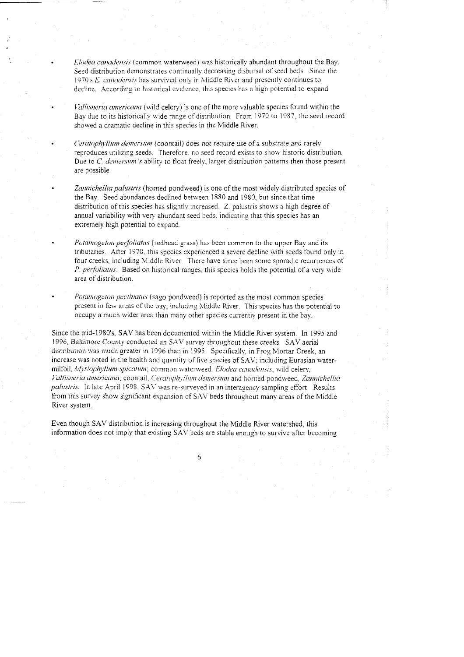*Elodea canadensis* (common waterweed) was historically abundant throughout the Bay. Seed distribution demonstrates continually decreasing disbursal of seed beds. Since the 1970's *E. canadensis* has survived only in Middle River and presently continues to decline. According to historical evidence, this species has a high potential to expand.

*Vallisneria americana* (wild celery) is one of the more valuable species found within the Bay due to its historically wide range of distribution. From 1970 to 1987, the seed record showed a dramatic decline in this species in the Middle River.

*Ceratophyllum demersum* (coontail) does not require use of a substrate and rarely reproduces utilizing seeds. Therefore, no seed record exists to show historic distribution. Due to *C. demersum's* ability to float freely, larger distribution patterns then those present are possible.

Zannichellia palustris (horned pondweed) is one of the most widely distributed species of the Bay. Seed abundances declined between 1880 and 1980, but since that time distribution of this species has slightly increased. Z. palustris shows a high degree of annual variability with very abundant seed beds, indicating that this species has an extremely high potential to expand.

*Potamogeton perfoliatus* (redhead grass) has been common to the upper Bay and its tributaries. After 1970, this species experienced a severe decline with seeds found only in four creeks, including Middle River. There have since been some sporadic recurrences of P. *perfoliatus.* Based on historical ranges, this species holds the potential of a very wide area of distribution.

*Potamogeton pectinatus* (sago pondweed) is reported as the most common species present in few areas of the bay, including Middle River. This species has the potential to occupy a much wider area than many other species currently present in the bay.

Since the mid-1980's, SAV has been documented within the Middle River system. In 1995 and 1996. Baltimore County conducted an SAV survey throughout these creeks. SAV aerial distribution was much greater in 1996 than in 1995. Specifically, in Frog Mortar Creek, an increase was noted in the health and quantity of five species of SAV: including Eurasian watermilfoil, *Myriophyllum spicatum*; common waterweed. *Elodea canadensis*; wild celery, *Vallisneria americana; coontail, Ceratophyllum demersum and horned pondweed, Zannichellia* palustris. In late April 1998, SAV was re-surveyed in an interagency sampling effort. Results from this survey show significant expansion of SAV beds throushout many areas of the Middle River system.

Even thouyh SAV distribution is increasing throughout the Middle fiver watershed, this information does not imply that existing SAV beds are stable enough to survive after becoming

6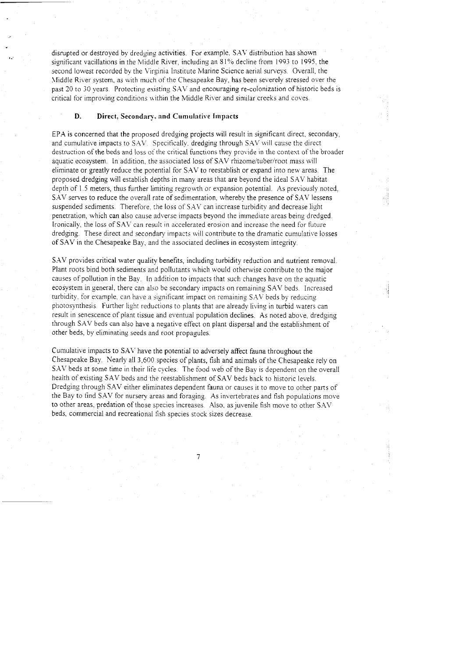disrupted or destroyed by dredging activities. For example. S.AV distribution has shown significant vacillations in the Middle River, including an 81% decline from 1993 to 1995, the second lowest recorded by the Virginia Institute Marine Science aerial suweys. Overall, the Middle River system, as with much of the Chesapeake Bay, has been severely stressed over the past 20 to 30 years. Protecting existing SAV and encouraging re-colonization of historic beds is critical for improving conditions within the Middle River and similar creeks and coves.

### **D. Direct, Secondary, and Cumulative Impacts**

**s:** 

EPA is concerned that the proposed dredging projects will result in significant direct, secondary; and cumulative impacts to SAV. Specifically, dredging through SAV will cause the direct destruction of the beds and loss ot'the critical functions they provide in the context of the broader aquatic ecosystem. In addition, the associated loss of SAV rhizome/tuber/root mass will eliminate or greatly reduce the potential for SAV to reestablish or expand inro new areas. The proposed dredging will establish depths in many areas that are beyond the ideal SAV habitat depth of 1.5 meters, thus further limiting regrowth or expansion potential. As previously noted, S.AV serves to reduce the overall rate of sedimentation, whereby the presence of SAV lessens suspended sediments. Therefore, the loss of SAV can increase turbidity and decrease light penetration, which can also cause adverse impacts beyond the immediate areas being dredged. Ironically, the loss of SAV can result in accelerated erosion and increase the need for future dredging. These direct and secondary impacts will contribute to the dramatic cumulative losses of SAV in the Chesapeake Bay, and the associated declines in ecosystem integrity.

S.AV provides critical water quality benefits, including turbidity reduction and nutrient removal. Plant roots bind both sediments and pollutants which would otherwise contribute to the major causes of pollution in the Bay. In addition to impacts that such changes have on the aquatic ecosystem in general, there can also be secondary impacts on remaining SAV beds. Increased turbidity, for example, can have a significant impact on remaining  $SAV$  beds by reducing photosynthesis Further lighr reductions to plants that are already living in turbid waters can result in senescence of plant tissue and eventual population declines. As noted above. dredging through SAV beds can also have a negative effect on plant dispersal and the establishment of other beds, by eliminating seeds and root propagules.

Cumulative impacts to SAL' have the potential to adversely affect fauna throughout the Chesapeake Bay. Nearly all 3,600 species of plants, fish and animals of the Chesapeake rely on S.AV beds at some time in their life cycles. The food web of the Bay is dependent on the overall health of existing SAV beds and the reestablishment of SAV beds back to historic levels. Dredging through SAV either eliminates dependent fauna or causes it to move to other pans of the Bay to find SAV for nursery areas and foraging. As invertebrates and fish populations move to other areas, predation of those species increases. Also, as juvenile fish move to other SAV beds, commercial and recreational fish species srock sizes decrease.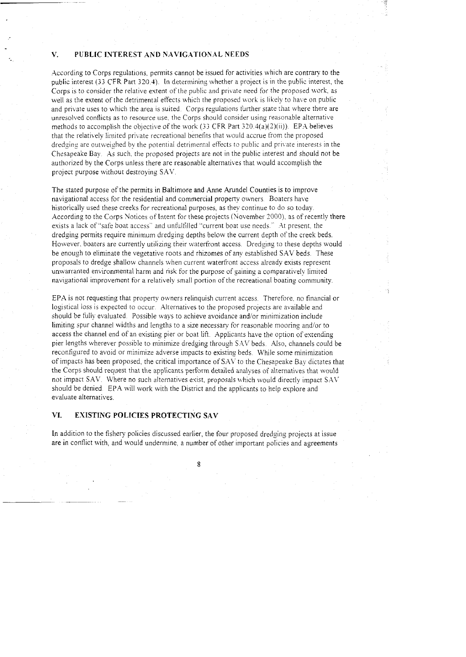### **V. PUBLIC INTEREST AND NAVIGATIONAL NEEDS**

According to Corps regulations, permits cannot be issued for activities which are contrary to the public interest (33 CFR Part 320.4). In determining whether a project is in the public interest, the Corps is to consider the relative extent of the public and private need for the proposed work, as well as the extent of the detrimental effects which the proposed work is likely to have on public and private uses to which the area is suited. Corps regulations further state that where there are unresolved conflicts as to resource use, the Corps should consider using reasonable alternative methods to accomplish the objective of the work (33 CFR Part 320.4(a)(2)(ii)). EPA believes that the relatively limited private recreational benefits that would accrue from the proposed dredging are outweighed by the potential detrimental effects to public and private interests in the Chesapeake Bay. As such. the proposed projects are not in the public interest and should not be authorized by the Corps unless there are reasonable alternatives that would accomplish the project purpose without destroying SAV.

The stated purpose of the permits in Baltimore and Anne Arundel Counties is to improve navigational access for the residential and commercial property owners Boaters have historically used these creeks for recreational purposes, as they continue to do so today. According to the Corps Notices of Intent for these projects (November 2000), as of recently there exists a lack of "safe boat access" and unfulfilled "current boat use needs." At present, the dredging permits require minimum dredging depths below the current depth of the creek beds. However, boaters are currently utilizing their waterfront access. Dredging to these depths would be enough to eliminate the vegetative roots and rhizomes of any established SAV beds. These proposals to dredge shallow channels when current waterfront access already exists represent unxvarranted environmental harm and risk for the purpose of gaining a comparatively limited navigational improvement for a relatively small portion of the recreational boating community.

EPA is not requesting that property owners relinquish current access. Therefore, no financial or logistical loss is expected to occur. Alternatives to the proposed projects are available and should be fully evaluated. Possible ways to achieve avoidance and/or minimization include limiting spur channel widths and lengths to a size necessary for reasonable mooring and/or to access the channel end of an existing pier or boat lift. Applicants have the option of extending pier lengths wherever possible to minimize dredging through SAV beds. Also, channels could be reconfigured to avoid or minimize adverse impacts to existing beds. While some minimization of impacts has been proposed, the critical importance of SAY to the Chesapeake Bay dictates that the Corps should request that the applicants perform detailed analyses of alternatives that would not impact SAV. Where no such alternatives exist, proposals which would directly impact SAV should be denied. EPA will work with the District and the applicants to help explore and evaluate alternatives.

# **VI. EXISTING POLICIES PROTECTING SAV**

In addition to the fishery policies discussed earlier, the four proposed dredging projects at issue are in contlict with, and would undermine, a number of other important policies and agreements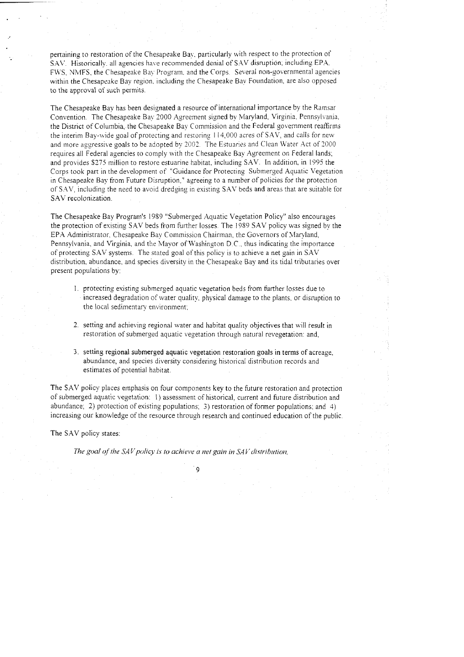pertaining to restoration of the Chesapeake Bay, particularly with respect to the protection of SAV. Historically, all agencies have recommended denial of SAV disruption; including EPA. FWS, NMFS, the Chesapeake Bay Program, and the Corps. Several non-governmental agencies within the Chesapeake Bay region. including the Chesapeake Bay Foundation, are also opposed to the approval of such permits.

The Chesapeake Bay has been designated a resource of international importance by the Ramsar Convention. The Chesapeake Bay 2000 Agreement signed by Maryland, Virginia. Pennsylvania. the District of Columbia, the Chesapeake Bay Commission and the Federal government reaffirms the interim Bay-wide goal of protecting and restoring 114,000 acres of SAV, and calls for new and more aggressive goals to be adopted by 2002. The Estuaries and Clean Water Act of 2000 requires all Federal agencies to comply with the Chesapeake Bay Agreement on Federal lands: and provides \$275 million to restore estuarine habitat, including SAV. In addition, in 1995 the Corps took part in the development of "Guidance for Protecting Submerged Aquatic Vegetation in Chesapeake Bay from Future Disruption," agreeing to a number of policies for the protection of S.4V, including the need to avoid dredging in esisting SAV beds and areas that are suitable for SAV recolonization.

The Chesapeake Bay Program's 1989 "Submerged Aquatic Vegetation Policy" also encourages the protection of existing SAV beds from further losses. The 1989 SAV policy was signed by the EPA Administrator, Chesapeake Bay Commission Chairman, the Governors of Maryland, Pennsylvania, and Virginia, and the Mayor of Washington D.C., thus indicating the importance of protecting SAV systems. The stated goal of this policy is to achieve a net gain in SAV distribution, abundance. and species diversity in the Chesapeake Bay and its tidal tributaries over present populations by:

- 1. protecting existing submerged aquatic vegetation beds from further losses due to increased degradation of water quality. physical damage to the plants. or disruption to the local sedimentary environment;
- 2. setting and achieving regional water and habitat quality objectives that will result in restoration of submerged aquatic vegetation through natural revegetation: and,
- **3** setting regional submerged aquatic vegetation restoration goals in terms of acreage, abundance, and species diversity considering historical distribution records and estimates of potential habitat.

The SAV policy places emphasis on four components key to the future restoration and protection of submerged aquatic vegetation: I) assessment of historical, current and future distribution and abundance; 2) protection of existing populations; 3) restoration of former populations: and 4) increasing our knowledge of the resource through research and continued education of the public.

Q

The SAV policy states:

The goal of the SAV policy is to achieve a net gain in SAV distribution,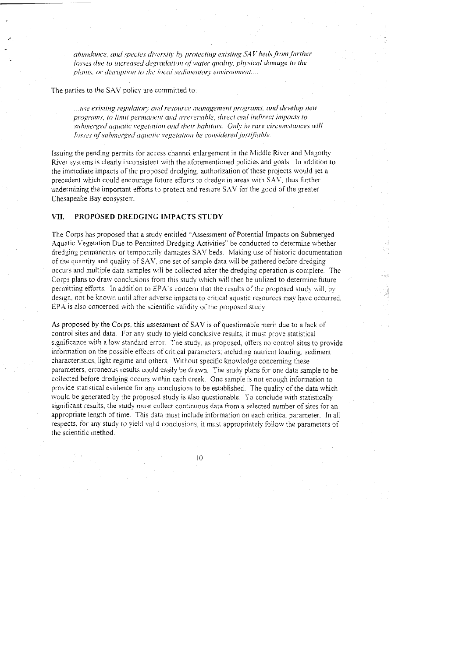abundance, and species diversity by protecting existing SAV beds from further losses due to increased degradation of water quality, physical damage to the plants, or disruption to the local sedimentary environment....

The parties to the SAV policy are committed to:

 $\ldots$ use existing regulatory and resource management programs, and develop new programs, to limit permanent and irreversible, direct and indirect impacts to submerged aquatic vegetation and their habitats. Only in rare circumstances will losses of submerged aquatic vegetation be considered justifiable.

Issuing the pending permits for access channel enlargement in the Middle River and Magothy River systems is clearly inconsistent with the aforementioned policies and goals. In addition to the immediate impacts of the proposed dredging, authorization of these projects would set a precedent which could encourage future efforts to dredge in areas with SAV, thus further undermining the important efforts to protect and restore SAV for the good of the greater Chesapeake Bay ecosystem.

#### VII. PROPOSED DREDGING IMPACTS STUDY

The Corps has proposed that a study entitled "Assessment of Potential Impacts on Submerged Aquatic Vegetation Due to Permitted Dredging Activities" be conducted to determine whether dredging permanently or temporarily damages SAV beds. Making use of historic documentation of the quantity and quality of SAV, one set of sample data will be gathered before dredging occurs and multiple data samples will be collected after the dredging operation is complete. The Corps plans to draw conclusions from this study which will then be utilized to determine future permitting efforts. In addition to EPA's concern that the results of the proposed study will, by design, not be known until after adverse impacts to critical aquatic resources may have occurred, EPA is also concerned with the scientific validity of the proposed study.

As proposed by the Corps, this assessment of SAV is of questionable merit due to a lack of control sites and data. For any study to yield conclusive results, it must prove statistical significance with a low standard error. The study, as proposed, offers no control sites to provide information on the possible effects of critical parameters; including nutrient loading, sediment characteristics, light regime and others. Without specific knowledge concerning these parameters, erroneous results could easily be drawn. The study plans for one data sample to be collected before dredging occurs within each creek. One sample is not enough information to provide statistical evidence for any conclusions to be established. The quality of the data which would be generated by the proposed study is also questionable. To conclude with statistically significant results, the study must collect continuous data from a selected number of sites for an appropriate length of time. This data must include information on each critical parameter. In all respects, for any study to yield valid conclusions, it must appropriately follow the parameters of the scientific method.

 $10$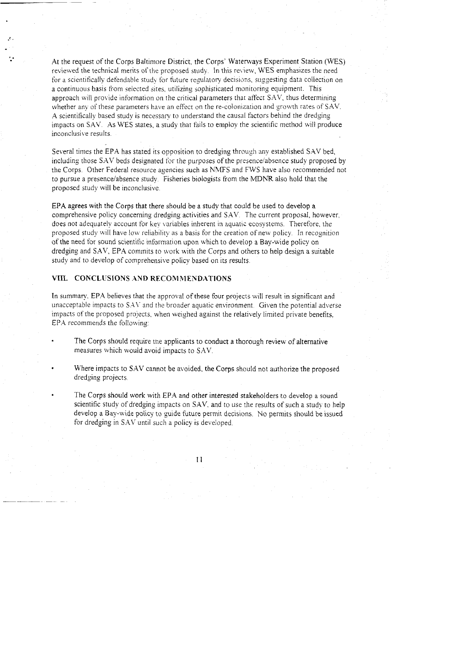At the request of the Corps Baltimore District. the Corps' Watenvavs Experiment Station (WES) reviewed the technical merits of the proposed stud\. In this re~iew, *WES* emphasizes the need for a scientifically defendable study for future resulatory decisions, suggesting data coliection on a continuous basis from selected sites, utilizing sophisticated monitoring equipment. This approach will provide information on the critical parameters that affect SAV, thus determining whether any of these parameters have an effect on the re-colonization and growth rates of SAV. A scientifically based study is necessary to understand the causal factors behind the dredging impacts on *SAV.* As WES states, a study that fails to employ the scientific method will produce inconclusive results.

Several times the EPA has stated its opposition to dredging through any established SAV bed, including those SAV beds designated for the purposes of the presence/absence study proposed by the Corps. Other Federal resource agencies such as NMFS and FWS have also recommended not to pursue a presencelabsence study. Fisheries biologists from the MDNR also hold that the proposed study will be inconclusive.

EPA agrees with the Corps that there should be a study that could be used to develop a comprehensive policy concerning dredging activities and SXV. The current proposal, however. does not adequately account for key variables inherent in aquatic ecosystems. Therefore. the proposed study will have low reliability as a basis for the creation of new policy. In recognition of the need for sound scientific information upon which to develop a Bay-wide policy on dredging and SAV. EPA commits to work with the Corps and others to help design a suitable study and to develop of comprehensive policy based on its results

## **VIII. CONCLUSIONS AND RECOMMENDATIONS**

**e.** 

In summary. EPA believes that the approval of these four projects will result in significant and unacceptable impacts to SAV and the broader aquatic environment. Given the potential adverse impacts of the proposed projects, when weighed against the relatively limited private benefits, EPA recommends the following:

- The Corps should require the applicants to conduct a thorough review of alternative measures which would avoid impacts to SXV.
- Where impacts to SAV cannot be avoided, the Corps should not authorize the proposed dredging projects.
- The Corps should work with *EPA* and other interested stakeholders to develop a sound scientific study of dredging impacts on SAV, and to use the results of such a study to help develop a Bay-wide policy to guide future permit decisions. No permits should be issued for dredging in SAV until such a policy is developed.

 $11$